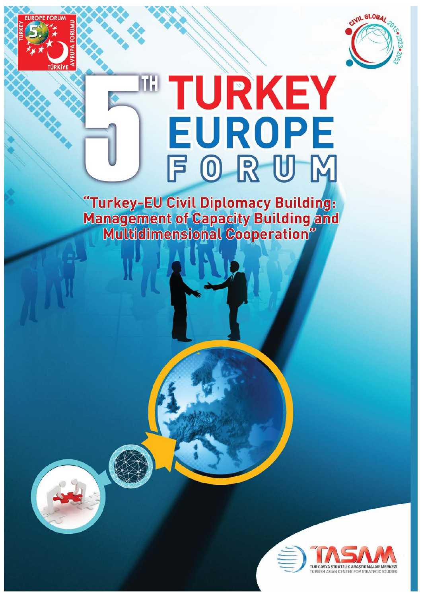

# TURKEY **EUROPE** FORUM

"Turkey-EU Civil Diplomacy Building:<br>Management of Capacity Building and<br>Multidimensional Cooperation"

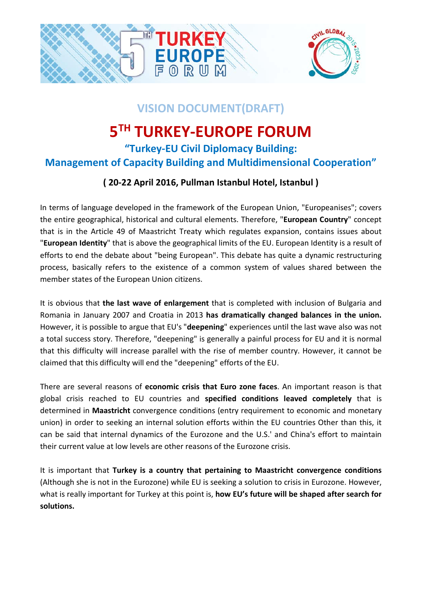

# **VISION DOCUMENT(DRAFT)**

# **5TH TURKEY-EUROPE FORUM**

## **"Turkey-EU Civil Diplomacy Building: Management of Capacity Building and Multidimensional Cooperation"**

### **( 20-22 April 2016, Pullman Istanbul Hotel, Istanbul )**

In terms of language developed in the framework of the European Union, "Europeanises"; covers the entire geographical, historical and cultural elements. Therefore, "**European Country**" concept that is in the Article 49 of Maastricht Treaty which regulates expansion, contains issues about "**European Identity**" that is above the geographical limits of the EU. European Identity is a result of efforts to end the debate about "being European". This debate has quite a dynamic restructuring process, basically refers to the existence of a common system of values shared between the member states of the European Union citizens.

It is obvious that **the last wave of enlargement** that is completed with inclusion of Bulgaria and Romania in January 2007 and Croatia in 2013 **has dramatically changed balances in the union.** However, it is possible to argue that EU's "**deepening**" experiences until the last wave also was not a total success story. Therefore, "deepening" is generally a painful process for EU and it is normal that this difficulty will increase parallel with the rise of member country. However, it cannot be claimed that this difficulty will end the "deepening" efforts of the EU.

There are several reasons of **economic crisis that Euro zone faces**. An important reason is that global crisis reached to EU countries and **specified conditions leaved completely** that is determined in **Maastricht** convergence conditions (entry requirement to economic and monetary union) in order to seeking an internal solution efforts within the EU countries Other than this, it can be said that internal dynamics of the Eurozone and the U.S.' and China's effort to maintain their current value at low levels are other reasons of the Eurozone crisis.

It is important that **Turkey is a country that pertaining to Maastricht convergence conditions** (Although she is not in the Eurozone) while EU is seeking a solution to crisis in Eurozone. However, what is really important for Turkey at this point is, **how EU's future will be shaped after search for solutions.**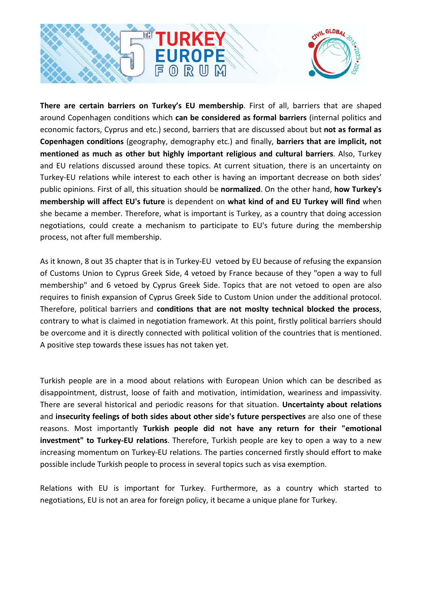

**There are certain barriers on Turkey's EU membership**. First of all, barriers that are shaped around Copenhagen conditions which **can be considered as formal barriers** (internal politics and economic factors, Cyprus and etc.) second, barriers that are discussed about but **not as formal as Copenhagen conditions** (geography, demography etc.) and finally, **barriers that are implicit, not mentioned as much as other but highly important religious and cultural barriers**. Also, Turkey and EU relations discussed around these topics. At current situation, there is an uncertainty on Turkey-EU relations while interest to each other is having an important decrease on both sides' public opinions. First of all, this situation should be **normalized**. On the other hand, **how Turkey's membership will affect EU's future** is dependent on **what kind of and EU Turkey will find** when she became a member. Therefore, what is important is Turkey, as a country that doing accession negotiations, could create a mechanism to participate to EU's future during the membership process, not after full membership.

As it known, 8 out 35 chapter that is in Turkey-EU vetoed by EU because of refusing the expansion of Customs Union to Cyprus Greek Side, 4 vetoed by France because of they "open a way to full membership" and 6 vetoed by Cyprus Greek Side. Topics that are not vetoed to open are also requires to finish expansion of Cyprus Greek Side to Custom Union under the additional protocol. Therefore, political barriers and **conditions that are not moslty technical blocked the process**, contrary to what is claimed in negotiation framework. At this point, firstly political barriers should be overcome and it is directly connected with political volition of the countries that is mentioned. A positive step towards these issues has not taken yet.

Turkish people are in a mood about relations with European Union which can be described as disappointment, distrust, loose of faith and motivation, intimidation, weariness and impassivity. There are several historical and periodic reasons for that situation. **Uncertainty about relations** and **insecurity feelings of both sides about other side's future perspectives** are also one of these reasons. Most importantly **Turkish people did not have any return for their "emotional investment" to Turkey-EU relations**. Therefore, Turkish people are key to open a way to a new increasing momentum on Turkey-EU relations. The parties concerned firstly should effort to make possible include Turkish people to process in several topics such as visa exemption.

Relations with EU is important for Turkey. Furthermore, as a country which started to negotiations, EU is not an area for foreign policy, it became a unique plane for Turkey.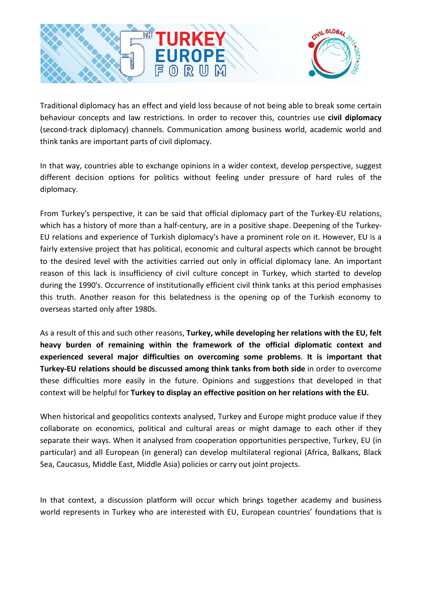

Traditional diplomacy has an effect and yield loss because of not being able to break some certain behaviour concepts and law restrictions. In order to recover this, countries use **civil diplomacy** (second-track diplomacy) channels. Communication among business world, academic world and think tanks are important parts of civil diplomacy.

In that way, countries able to exchange opinions in a wider context, develop perspective, suggest different decision options for politics without feeling under pressure of hard rules of the diplomacy.

From Turkey's perspective, it can be said that official diplomacy part of the Turkey-EU relations, which has a history of more than a half-century, are in a positive shape. Deepening of the Turkey-EU relations and experience of Turkish diplomacy's have a prominent role on it. However, EU is a fairly extensive project that has political, economic and cultural aspects which cannot be brought to the desired level with the activities carried out only in official diplomacy lane. An important reason of this lack is insufficiency of civil culture concept in Turkey, which started to develop during the 1990's. Occurrence of institutionally efficient civil think tanks at this period emphasises this truth. Another reason for this belatedness is the opening op of the Turkish economy to overseas started only after 1980s.

As a result of this and such other reasons, **Turkey, while developing her relations with the EU, felt heavy burden of remaining within the framework of the official diplomatic context and experienced several major difficulties on overcoming some problems**. **It is important that Turkey-EU relations should be discussed among think tanks from both side** in order to overcome these difficulties more easily in the future. Opinions and suggestions that developed in that context will be helpful for **Turkey to display an effective position on her relations with the EU.**

When historical and geopolitics contexts analysed, Turkey and Europe might produce value if they collaborate on economics, political and cultural areas or might damage to each other if they separate their ways. When it analysed from cooperation opportunities perspective, Turkey, EU (in particular) and all European (in general) can develop multilateral regional (Africa, Balkans, Black Sea, Caucasus, Middle East, Middle Asia) policies or carry out joint projects.

In that context, a discussion platform will occur which brings together academy and business world represents in Turkey who are interested with EU, European countries' foundations that is